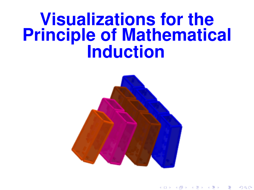# **Visualizations for the Principle of Mathematical Induction**



すロト す御き すきき すきき

つひひ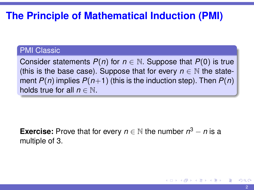# **The Principle of Mathematical Induction (PMI)**

#### PMI Classic

Consider statements  $P(n)$  for  $n \in \mathbb{N}$ . Suppose that  $P(0)$  is true (this is the base case). Suppose that for every  $n \in \mathbb{N}$  the statement  $P(n)$  implies  $P(n+1)$  (this is the induction step). Then  $P(n)$ holds true for all  $n \in \mathbb{N}$ .

**Exercise:** Prove that for every  $n \in \mathbb{N}$  the number  $n^3 - n$  is a multiple of 3.

**≮ロト (何) (日) (日)**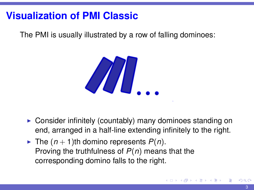# **Visualization of PMI Classic**

The PMI is usually illustrated by a row of falling dominoes:



- $\triangleright$  Consider infinitely (countably) many dominoes standing on end, arranged in a half-line extending infinitely to the right.
- If The  $(n + 1)$ th domino represents  $P(n)$ . Proving the truthfulness of *P*(*n*) means that the corresponding domino falls to the right.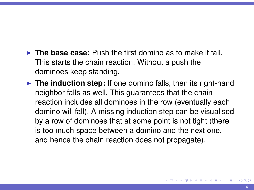- **The base case:** Push the first domino as to make it fall. This starts the chain reaction. Without a push the dominoes keep standing.
- **The induction step:** If one domino falls, then its right-hand neighbor falls as well. This guarantees that the chain reaction includes all dominoes in the row (eventually each domino will fall). A missing induction step can be visualised by a row of dominoes that at some point is not tight (there is too much space between a domino and the next one, and hence the chain reaction does not propagate).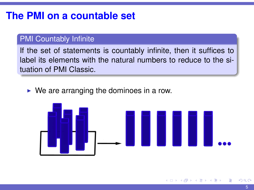# **The PMI on a countable set**

#### PMI Countably Infinite

If the set of statements is countably infinite, then it suffices to label its elements with the natural numbers to reduce to the situation of PMI Classic.

 $\triangleright$  We are arranging the dominoes in a row.

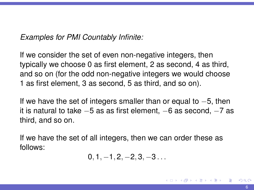#### *Examples for PMI Countably Infinite:*

If we consider the set of even non-negative integers, then typically we choose 0 as first element, 2 as second, 4 as third, and so on (for the odd non-negative integers we would choose 1 as first element, 3 as second, 5 as third, and so on).

If we have the set of integers smaller than or equal to −5, then it is natural to take −5 as as first element, −6 as second, −7 as third, and so on.

If we have the set of all integers, then we can order these as follows:

$$
0,1,-1,2,-2,3,-3\ldots\\
$$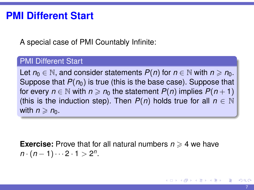### **PMI Different Start**

A special case of PMI Countably Infinite:

#### PMI Different Start

Let  $n_0 \in \mathbb{N}$ , and consider statements  $P(n)$  for  $n \in \mathbb{N}$  with  $n \geq n_0$ . Suppose that  $P(n_0)$  is true (this is the base case). Suppose that for every  $n \in \mathbb{N}$  with  $n \geq n_0$  the statement  $P(n)$  implies  $P(n+1)$ (this is the induction step). Then  $P(n)$  holds true for all  $n \in \mathbb{N}$ with  $n \ge n_0$ .

**Exercise:** Prove that for all natural numbers  $n \geq 4$  we have  $n \cdot (n-1) \cdots 2 \cdot 1 > 2^n$ .

(ロトメ部)メ唐)メ唐) - 唐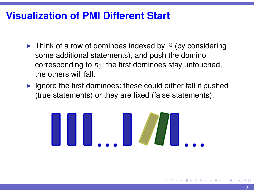# **Visualization of PMI Different Start**

- In Think of a row of dominoes indexed by  $\mathbb N$  (by considering some additional statements), and push the domino corresponding to  $n_0$ : the first dominoes stay untouched, the others will fall.
- $\blacktriangleright$  Ignore the first dominoes: these could either fall if pushed (true statements) or they are fixed (false statements).

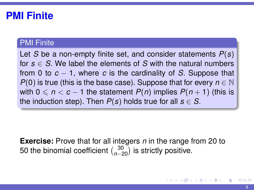### **PMI Finite**

#### **PMI Finite**

Let *S* be a non-empty finite set, and consider statements *P*(*s*) for  $s \in S$ . We label the elements of *S* with the natural numbers from 0 to *c* − 1, where *c* is the cardinality of *S*. Suppose that *P*(0) is true (this is the base case). Suppose that for every  $n \in \mathbb{N}$ with  $0 \le n < c - 1$  the statement  $P(n)$  implies  $P(n + 1)$  (this is the induction step). Then  $P(s)$  holds true for all  $s \in S$ .

**Exercise:** Prove that for all integers *n* in the range from 20 to 50 the binomial coefficient  $\binom{30}{n-20}$  is strictly positive.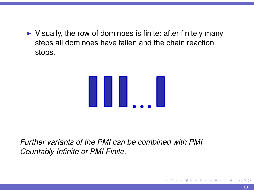$\triangleright$  Visually, the row of dominoes is finite: after finitely many steps all dominoes have fallen and the chain reaction stops.



*Further variants of the PMI can be combined with PMI Countably Infinite or PMI Finite.*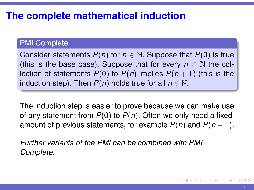# **The complete mathematical induction**

#### PMI Complete

Consider statements  $P(n)$  for  $n \in \mathbb{N}$ . Suppose that  $P(0)$  is true (this is the base case). Suppose that for every  $n \in \mathbb{N}$  the collection of statements  $P(0)$  to  $P(n)$  implies  $P(n + 1)$  (this is the induction step). Then  $P(n)$  holds true for all  $n \in \mathbb{N}$ .

The induction step is easier to prove because we can make use of any statement from *P*(0) to *P*(*n*). Often we only need a fixed amount of previous statements, for example  $P(n)$  and  $P(n - 1)$ .

*Further variants of the PMI can be combined with PMI Complete.*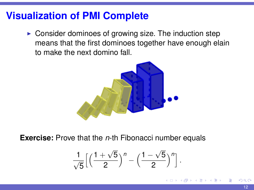### **Visualization of PMI Complete**

 $\triangleright$  Consider dominoes of growing size. The induction step means that the first dominoes together have enough elain to make the next domino fall.



**Exercise:** Prove that the *n*-th Fibonacci number equals

$$
\frac{1}{\sqrt{5}}\Big[\Big(\frac{1+\sqrt{5}}{2}\Big)^n-\Big(\frac{1-\sqrt{5}}{2}\Big)^n\Big]
$$

.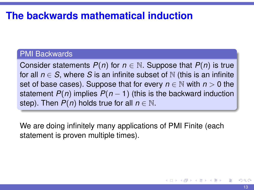# **The backwards mathematical induction**

#### PMI Backwards

Consider statements  $P(n)$  for  $n \in \mathbb{N}$ . Suppose that  $P(n)$  is true for all  $n \in S$ , where *S* is an infinite subset of N (this is an infinite set of base cases). Suppose that for every  $n \in \mathbb{N}$  with  $n > 0$  the statement  $P(n)$  implies  $P(n-1)$  (this is the backward induction step). Then  $P(n)$  holds true for all  $n \in \mathbb{N}$ .

We are doing infinitely many applications of PMI Finite (each statement is proven multiple times).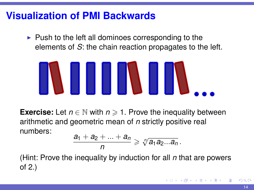### **Visualization of PMI Backwards**

 $\triangleright$  Push to the left all dominoes corresponding to the elements of *S*: the chain reaction propagates to the left.



**Exercise:** Let  $n \in \mathbb{N}$  with  $n \ge 1$ . Prove the inequality between arithmetic and geometric mean of *n* strictly positive real numbers:

$$
\frac{a_1+a_2+\ldots+a_n}{n}\geqslant \sqrt[n]{a_1a_2...a_n}\,.
$$

(Hint: Prove the inequality by induction for all *n* that are powers of 2.)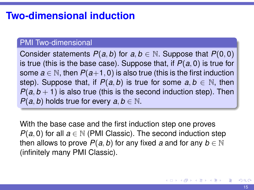# **Two-dimensional induction**

#### PMI Two-dimensional

Consider statements  $P(a, b)$  for  $a, b \in \mathbb{N}$ . Suppose that  $P(0, 0)$ is true (this is the base case). Suppose that, if *P*(*a*, 0) is true for some  $a \in \mathbb{N}$ , then  $P(a+1, 0)$  is also true (this is the first induction step). Suppose that, if  $P(a, b)$  is true for some  $a, b \in \mathbb{N}$ , then  $P(a, b + 1)$  is also true (this is the second induction step). Then *P*(*a*, *b*) holds true for every *a*, *b*  $\in$  N.

With the base case and the first induction step one proves *P*( $a$ , 0) for all  $a \in \mathbb{N}$  (PMI Classic). The second induction step then allows to prove  $P(a, b)$  for any fixed *a* and for any  $b \in \mathbb{N}$ (infinitely many PMI Classic).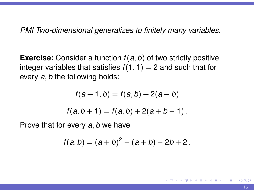*PMI Two-dimensional generalizes to finitely many variables.*

**Exercise:** Consider a function *f*(*a*, *b*) of two strictly positive integer variables that satisfies  $f(1, 1) = 2$  and such that for every *a*, *b* the following holds:

$$
f(a+1,b) = f(a,b) + 2(a+b)
$$

$$
f(a,b+1) = f(a,b) + 2(a+b-1).
$$

Prove that for every *a*, *b* we have

$$
f(a,b)=(a+b)^2-(a+b)-2b+2.
$$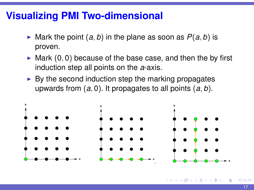### **Visualizing PMI Two-dimensional**

- $\triangleright$  Mark the point  $(a, b)$  in the plane as soon as  $P(a, b)$  is proven.
- $\triangleright$  Mark (0,0) because of the base case, and then the by first induction step all points on the *a*-axis.
- $\triangleright$  By the second induction step the marking propagates upwards from (*a*, 0). It propagates to all points (*a*, *b*).



nar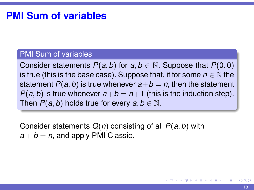#### **PMI Sum of variables**

#### PMI Sum of variables

Consider statements  $P(a, b)$  for  $a, b \in \mathbb{N}$ . Suppose that  $P(0, 0)$ is true (this is the base case). Suppose that, if for some  $n \in \mathbb{N}$  the statement  $P(a, b)$  is true whenever  $a + b = n$ , then the statement *P*(*a*, *b*) is true whenever  $a+b = n+1$  (this is the induction step). Then  $P(a, b)$  holds true for every  $a, b \in \mathbb{N}$ .

Consider statements *Q*(*n*) consisting of all *P*(*a*, *b*) with  $a + b = n$ , and apply PMI Classic.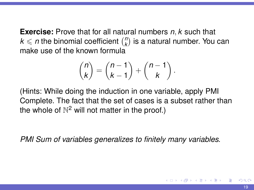**Exercise:** Prove that for all natural numbers *n*, *k* such that  $k \leqslant n$  the binomial coefficient  $\binom{n}{k}$  $\binom{n}{k}$  is a natural number. You can make use of the known formula

$$
\binom{n}{k} = \binom{n-1}{k-1} + \binom{n-1}{k}.
$$

(Hints: While doing the induction in one variable, apply PMI Complete. The fact that the set of cases is a subset rather than the whole of  $\mathbb{N}^2$  will not matter in the proof.)

*PMI Sum of variables generalizes to finitely many variables.*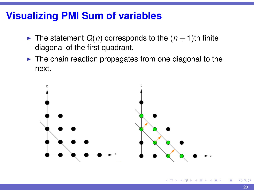### **Visualizing PMI Sum of variables**

- If The statement  $Q(n)$  corresponds to the  $(n + 1)$ th finite diagonal of the first quadrant.
- $\blacktriangleright$  The chain reaction propagates from one diagonal to the next.

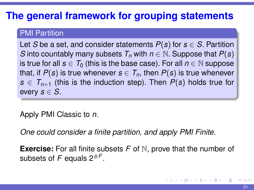# **The general framework for grouping statements**

#### PMI Partition

Let *S* be a set, and consider statements  $P(s)$  for  $s \in S$ . Partition *S* into countably many subsets  $T_n$  with  $n \in \mathbb{N}$ . Suppose that  $P(s)$ is true for all  $s \in T_0$  (this is the base case). For all  $n \in \mathbb{N}$  suppose that, if  $P(s)$  is true whenever  $s \in T_n$ , then  $P(s)$  is true whenever  $s \in T_{n+1}$  (this is the induction step). Then  $P(s)$  holds true for every  $s \in S$ .

Apply PMI Classic to *n*.

*One could consider a finite partition, and apply PMI Finite.*

**Exercise:** For all finite subsets *F* of N, prove that the number of subsets of  $F$  equals  $2^{\#F}.$ 

イロト イ押 トイヨ トイヨト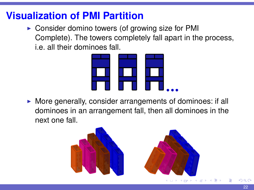# **Visualization of PMI Partition**

 $\triangleright$  Consider domino towers (of growing size for PMI Complete). The towers completely fall apart in the process, i.e. all their dominoes fall.



 $\blacktriangleright$  More generally, consider arrangements of dominoes: if all dominoes in an arrangement fall, then all dominoes in the next one fall.

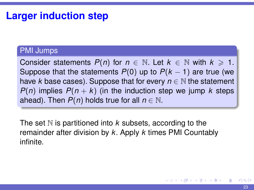### **Larger induction step**

#### PMI Jumps

Consider statements  $P(n)$  for  $n \in \mathbb{N}$ . Let  $k \in \mathbb{N}$  with  $k \ge 1$ . Suppose that the statements  $P(0)$  up to  $P(k - 1)$  are true (we have *k* base cases). Suppose that for every  $n \in \mathbb{N}$  the statement *P(n)* implies  $P(n + k)$  (in the induction step we jump k steps ahead). Then  $P(n)$  holds true for all  $n \in \mathbb{N}$ .

The set  $N$  is partitioned into  $k$  subsets, according to the remainder after division by *k*. Apply *k* times PMI Countably infinite.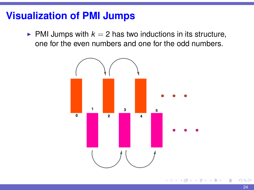### **Visualization of PMI Jumps**

 $\blacktriangleright$  PMI Jumps with  $k = 2$  has two inductions in its structure, one for the even numbers and one for the odd numbers.

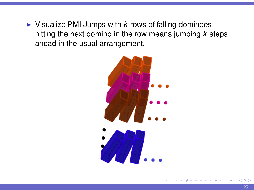$\triangleright$  Visualize PMI Jumps with *k* rows of falling dominoes: hitting the next domino in the row means jumping *k* steps ahead in the usual arrangement.



 $\alpha$   $\sigma$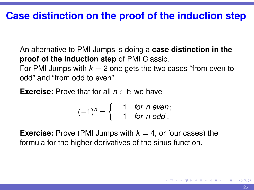### **Case distinction on the proof of the induction step**

An alternative to PMI Jumps is doing a **case distinction in the proof of the induction step** of PMI Classic.

For PMI Jumps with  $k = 2$  one gets the two cases "from even to odd" and "from odd to even".

**Exercise:** Prove that for all  $n \in \mathbb{N}$  we have

$$
(-1)^n = \left\{ \begin{array}{ll} 1 & \text{for } n \text{ even}; \\ -1 & \text{for } n \text{ odd}. \end{array} \right.
$$

**Exercise:** Prove (PMI Jumps with  $k = 4$ , or four cases) the formula for the higher derivatives of the sinus function.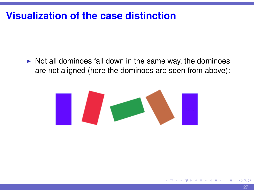## **Visualization of the case distinction**

 $\triangleright$  Not all dominoes fall down in the same way, the dominoes are not aligned (here the dominoes are seen from above):